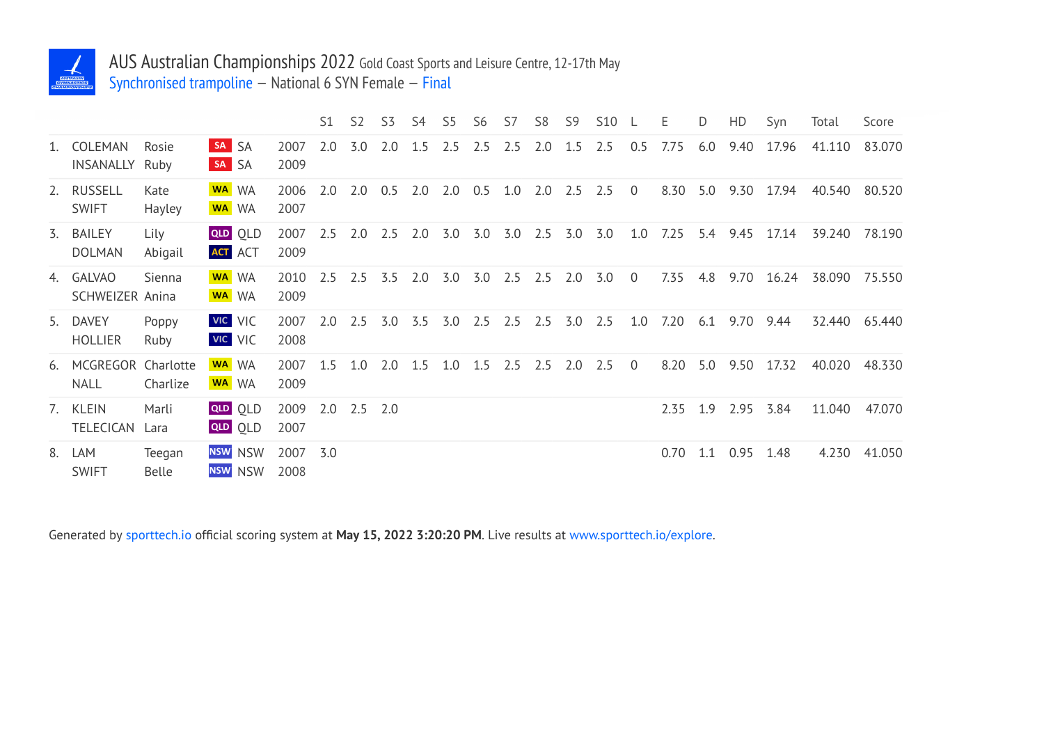

## AUS Australian Championships 2022 Gold Coast Sports and Leisure Centre, 12-17th May Synchronised trampoline — National 6 SYN Female — Final

|         |                                   |                 |                |                                  |              | S <sub>1</sub> | S <sub>2</sub> | S <sub>3</sub> | S4  | S5  | S <sub>6</sub> | S7  | S <sub>8</sub> | S <sub>9</sub> | <b>S10</b> |                | Ε    | D   | HD   | Syn   | Total  | Score  |
|---------|-----------------------------------|-----------------|----------------|----------------------------------|--------------|----------------|----------------|----------------|-----|-----|----------------|-----|----------------|----------------|------------|----------------|------|-----|------|-------|--------|--------|
| $1_{-}$ | COLEMAN<br>INSANALLY              | Rosie<br>Ruby   | SA SA<br>SA SA |                                  | 2007<br>2009 | 2.0            | 3.0            | 2.0            | 1.5 | 2.5 | 2.5            | 2.5 | 2.0            | 1.5            | 2.5        | 0.5            | 7.75 | 6.0 | 9.40 | 17.96 | 41.110 | 83.070 |
| 2.      | <b>RUSSELL</b><br><b>SWIFT</b>    | Kate<br>Hayley  |                | WA WA<br>WA WA                   | 2006<br>2007 | 2.0            | 2.0            | 0.5            | 2.0 | 2.0 | 0.5            | 1.0 | 2.0            | 2.5            | 2.5        | $\overline{0}$ | 8.30 | 5.0 | 9.30 | 17.94 | 40.540 | 80.520 |
| 3.      | <b>BAILEY</b><br><b>DOLMAN</b>    | Lily<br>Abigail |                | <b>QLD QLD</b><br><b>ACT</b> ACT | 2007<br>2009 | 2.5            | 2.0            | 2.5            | 2.0 | 3.0 | 3.0            | 3.0 | 2.5            | 3.0            | 3.0        | 1.0            | 7.25 | 5.4 | 9.45 | 17.14 | 39.240 | 78.190 |
|         | 4. GALVAO<br>SCHWEIZER Anina      | Sienna          |                | WA WA<br>WA WA                   | 2010<br>2009 | 2.5            | 2.5            | 3.5            | 2.0 | 3.0 | 3.0            | 2.5 | 2.5            | 2.0            | 3.0        | $\theta$       | 7.35 | 4.8 | 9.70 | 16.24 | 38.090 | 75.550 |
| 5.      | <b>DAVEY</b><br><b>HOLLIER</b>    | Poppy<br>Ruby   |                | VIC VIC<br><b>VIC</b> VIC        | 2007<br>2008 | 2.0            | 2.5            | 3.0            | 3.5 | 3.0 | 2.5            | 2.5 | 2.5            | 3.0            | 2.5        | 1.0            | 7.20 | 6.1 | 9.70 | 9.44  | 32.440 | 65.440 |
| 6.      | MCGREGOR Charlotte<br><b>NALL</b> | Charlize        |                | WA WA<br>WA WA                   | 2007<br>2009 | 1.5            | 1.0            | 2.0            | 1.5 | 1.0 | 1.5            | 2.5 | 2.5            | 2.0            | 2.5        | $\overline{0}$ | 8.20 | 5.0 | 9.50 | 17.32 | 40.020 | 48.330 |
|         | 7. KLEIN<br><b>TELECICAN</b>      | Marli<br>Lara   |                | <b>QLD</b> OLD<br><b>QLD</b> OLD | 2009<br>2007 | 2.0            | $2.5$ 2.0      |                |     |     |                |     |                |                |            |                | 2.35 | 1.9 | 2.95 | 3.84  | 11.040 | 47.070 |
| 8.      | LAM<br><b>SWIFT</b>               | Teegan<br>Belle |                | NSW NSW<br>NSW NSW               | 2007<br>2008 | 3.0            |                |                |     |     |                |     |                |                |            |                | 0.70 | 1.1 | 0.95 | 1.48  | 4.230  | 41.050 |

Generated by sporttech.io official scoring system at **May 15, 2022 3:20:20 PM**. Live results at www.sporttech.io/explore.